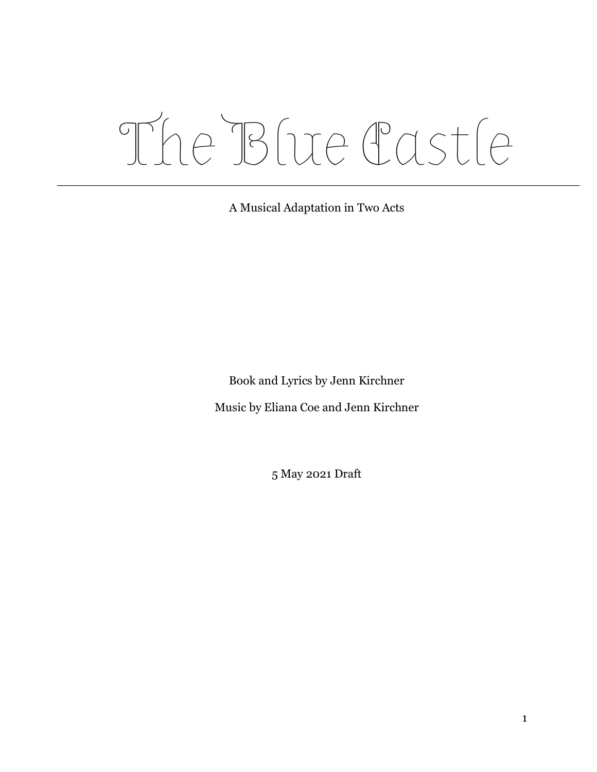# The Blue Castle

A Musical Adaptation in Two Acts

Book and Lyrics by Jenn Kirchner

Music by Eliana Coe and Jenn Kirchner

5 May 2021 Draft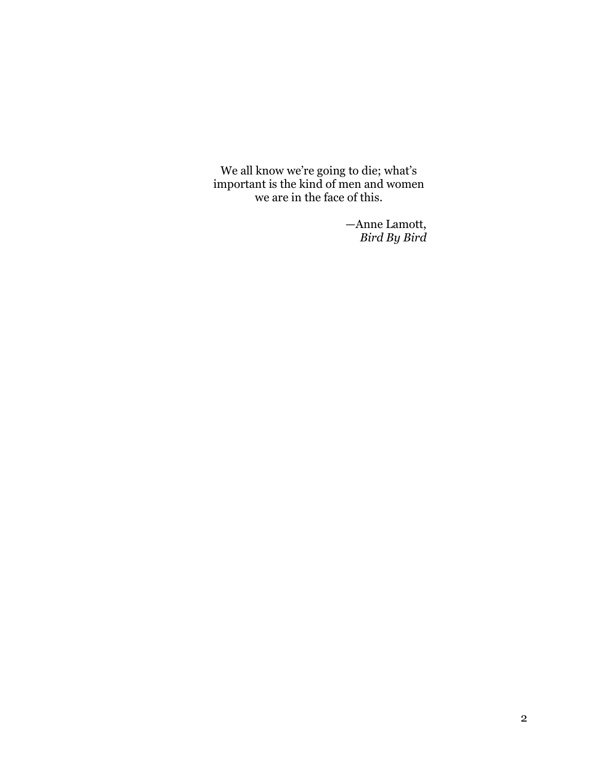We all know we're going to die; what's important is the kind of men and women we are in the face of this.

> —Anne Lamott, *Bird By Bird*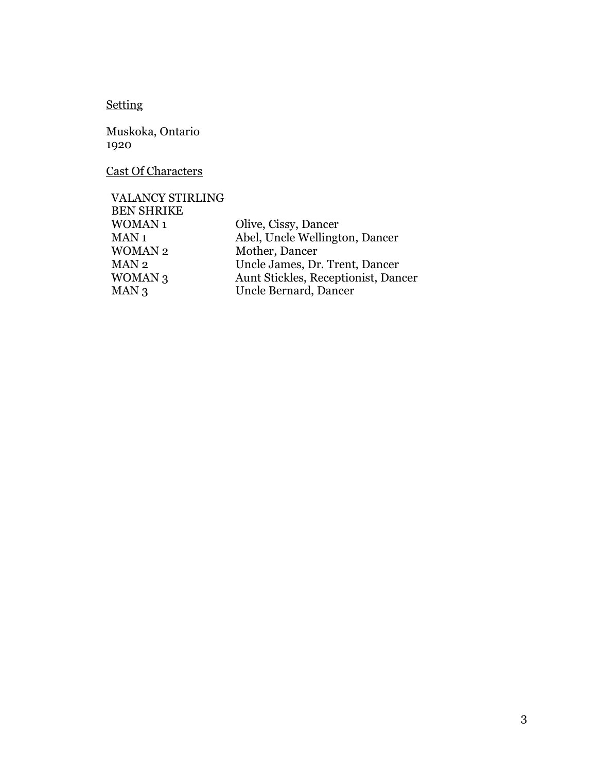# Setting

Muskoka, Ontario 1920

Cast Of Characters

| <b>VALANCY STIRLING</b> |                                     |
|-------------------------|-------------------------------------|
| <b>BEN SHRIKE</b>       |                                     |
| <b>WOMAN1</b>           | Olive, Cissy, Dancer                |
| MAN 1                   | Abel, Uncle Wellington, Dancer      |
| <b>WOMAN2</b>           | Mother, Dancer                      |
| MAN 2                   | Uncle James, Dr. Trent, Dancer      |
| WOMAN <sub>3</sub>      | Aunt Stickles, Receptionist, Dancer |
| MAN 3                   | Uncle Bernard, Dancer               |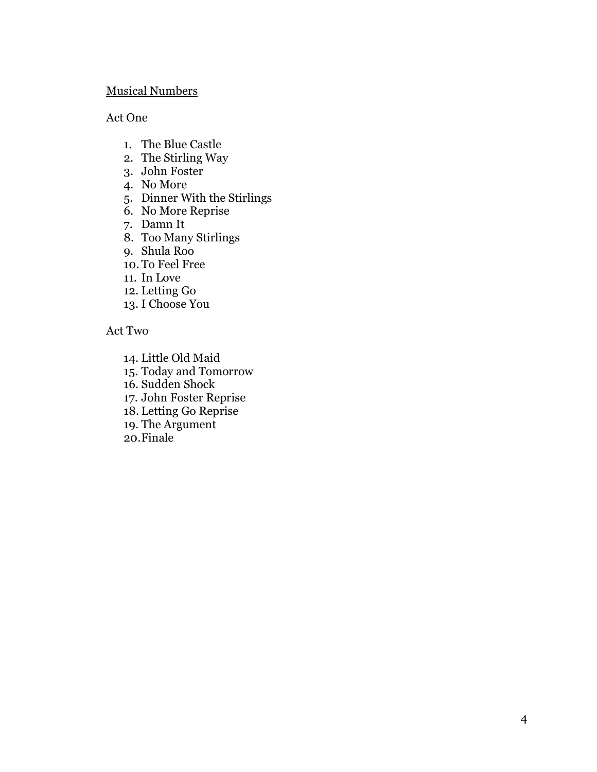## Musical Numbers

## Act One

- 1. The Blue Castle
- 2. The Stirling Way
- 3. John Foster
- 4. No More
- 5. Dinner With the Stirlings
- 6. No More Reprise
- 7. Damn It
- 8. Too Many Stirlings
- 9. Shula Roo
- 10. To Feel Free
- 11. In Love
- 12. Letting Go
- 13. I Choose You

## Act Two

- 14. Little Old Maid
- 15. Today and Tomorrow
- 16. Sudden Shock
- 17. John Foster Reprise
- 18. Letting Go Reprise
- 19. The Argument
- 20.Finale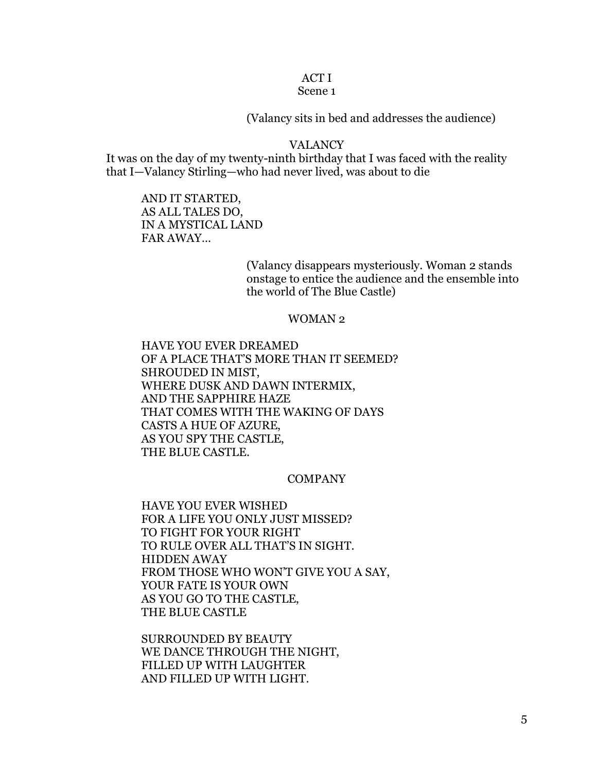## ACT I

## Scene 1

(Valancy sits in bed and addresses the audience)

## VALANCY

It was on the day of my twenty-ninth birthday that I was faced with the reality that I—Valancy Stirling—who had never lived, was about to die

AND IT STARTED, AS ALL TALES DO, IN A MYSTICAL LAND FAR AWAY…

> (Valancy disappears mysteriously. Woman 2 stands onstage to entice the audience and the ensemble into the world of The Blue Castle)

#### WOMAN 2

HAVE YOU EVER DREAMED OF A PLACE THAT'S MORE THAN IT SEEMED? SHROUDED IN MIST, WHERE DUSK AND DAWN INTERMIX, AND THE SAPPHIRE HAZE THAT COMES WITH THE WAKING OF DAYS CASTS A HUE OF AZURE, AS YOU SPY THE CASTLE, THE BLUE CASTLE.

## COMPANY

HAVE YOU EVER WISHED FOR A LIFE YOU ONLY JUST MISSED? TO FIGHT FOR YOUR RIGHT TO RULE OVER ALL THAT'S IN SIGHT. HIDDEN AWAY FROM THOSE WHO WON'T GIVE YOU A SAY, YOUR FATE IS YOUR OWN AS YOU GO TO THE CASTLE, THE BLUE CASTLE

SURROUNDED BY BEAUTY WE DANCE THROUGH THE NIGHT, FILLED UP WITH LAUGHTER AND FILLED UP WITH LIGHT.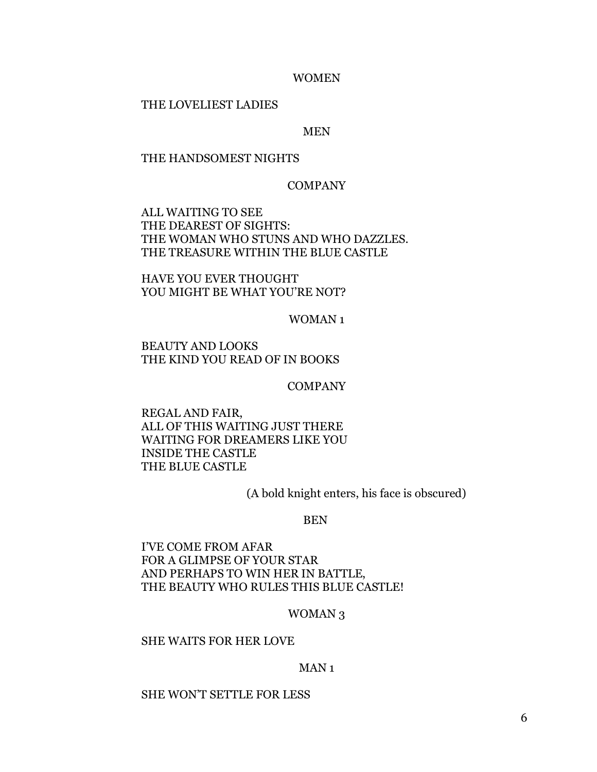#### WOMEN

#### THE LOVELIEST LADIES

#### MEN

#### THE HANDSOMEST NIGHTS

#### COMPANY

ALL WAITING TO SEE THE DEAREST OF SIGHTS: THE WOMAN WHO STUNS AND WHO DAZZLES. THE TREASURE WITHIN THE BLUE CASTLE

HAVE YOU EVER THOUGHT YOU MIGHT BE WHAT YOU'RE NOT?

WOMAN 1

BEAUTY AND LOOKS THE KIND YOU READ OF IN BOOKS

COMPANY

REGAL AND FAIR, ALL OF THIS WAITING JUST THERE WAITING FOR DREAMERS LIKE YOU INSIDE THE CASTLE THE BLUE CASTLE

(A bold knight enters, his face is obscured)

#### BEN

I'VE COME FROM AFAR FOR A GLIMPSE OF YOUR STAR AND PERHAPS TO WIN HER IN BATTLE, THE BEAUTY WHO RULES THIS BLUE CASTLE!

#### WOMAN 3

#### SHE WAITS FOR HER LOVE

#### MAN 1

#### SHE WON'T SETTLE FOR LESS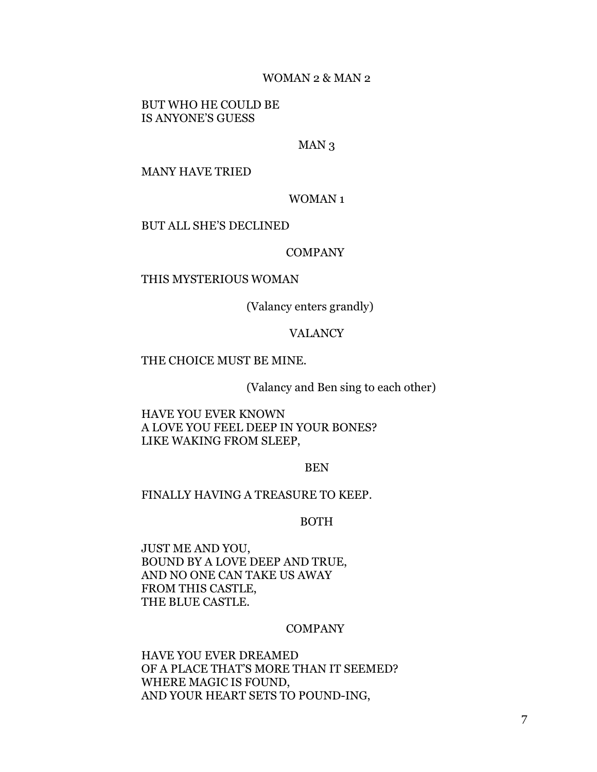#### WOMAN 2 & MAN 2

BUT WHO HE COULD BE IS ANYONE'S GUESS

## MAN<sub>3</sub>

#### MANY HAVE TRIED

#### WOMAN 1

#### BUT ALL SHE'S DECLINED

#### COMPANY

#### THIS MYSTERIOUS WOMAN

(Valancy enters grandly)

## VALANCY

## THE CHOICE MUST BE MINE.

(Valancy and Ben sing to each other)

HAVE YOU EVER KNOWN A LOVE YOU FEEL DEEP IN YOUR BONES? LIKE WAKING FROM SLEEP,

BEN

#### FINALLY HAVING A TREASURE TO KEEP.

BOTH

JUST ME AND YOU, BOUND BY A LOVE DEEP AND TRUE, AND NO ONE CAN TAKE US AWAY FROM THIS CASTLE, THE BLUE CASTLE.

#### COMPANY

HAVE YOU EVER DREAMED OF A PLACE THAT'S MORE THAN IT SEEMED? WHERE MAGIC IS FOUND, AND YOUR HEART SETS TO POUND-ING,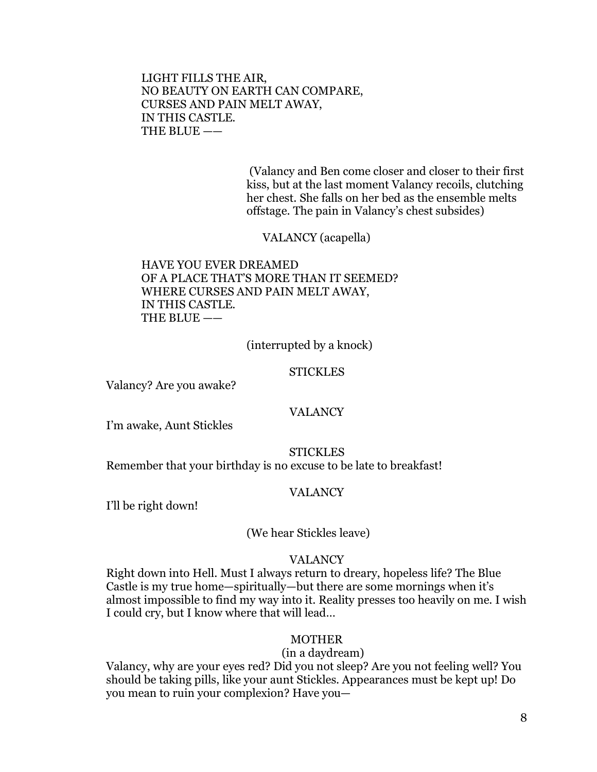LIGHT FILLS THE AIR, NO BEAUTY ON EARTH CAN COMPARE, CURSES AND PAIN MELT AWAY, IN THIS CASTLE. THE BLUE ——

> (Valancy and Ben come closer and closer to their first kiss, but at the last moment Valancy recoils, clutching her chest. She falls on her bed as the ensemble melts offstage. The pain in Valancy's chest subsides)

VALANCY (acapella)

HAVE YOU EVER DREAMED OF A PLACE THAT'S MORE THAN IT SEEMED? WHERE CURSES AND PAIN MELT AWAY, IN THIS CASTLE. THE BLUE ——

(interrupted by a knock)

#### **STICKLES**

Valancy? Are you awake?

#### VALANCY

I'm awake, Aunt Stickles

#### **STICKLES**

Remember that your birthday is no excuse to be late to breakfast!

#### VALANCY

I'll be right down!

## (We hear Stickles leave)

#### VALANCY

Right down into Hell. Must I always return to dreary, hopeless life? The Blue Castle is my true home—spiritually—but there are some mornings when it's almost impossible to find my way into it. Reality presses too heavily on me. I wish I could cry, but I know where that will lead…

#### MOTHER

#### (in a daydream)

Valancy, why are your eyes red? Did you not sleep? Are you not feeling well? You should be taking pills, like your aunt Stickles. Appearances must be kept up! Do you mean to ruin your complexion? Have you—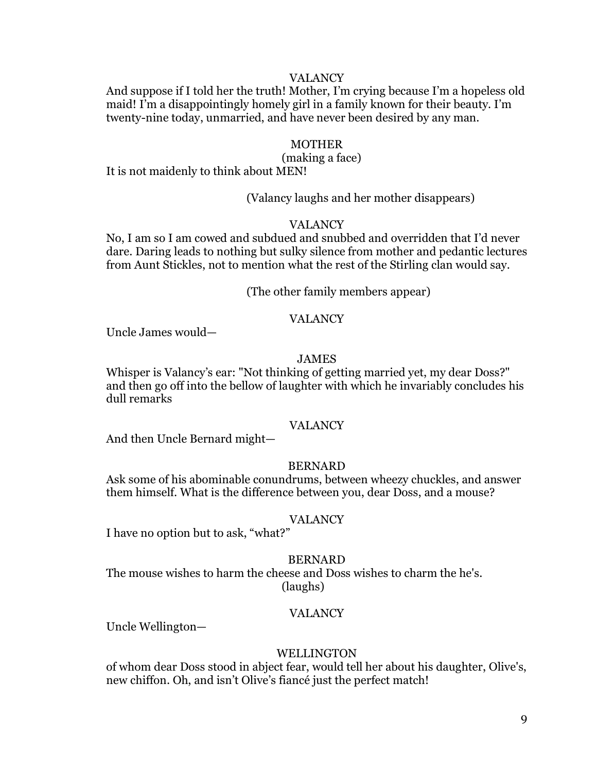## VALANCY

And suppose if I told her the truth! Mother, I'm crying because I'm a hopeless old maid! I'm a disappointingly homely girl in a family known for their beauty. I'm twenty-nine today, unmarried, and have never been desired by any man.

#### MOTHER

#### (making a face)

It is not maidenly to think about MEN!

(Valancy laughs and her mother disappears)

## VALANCY

No, I am so I am cowed and subdued and snubbed and overridden that I'd never dare. Daring leads to nothing but sulky silence from mother and pedantic lectures from Aunt Stickles, not to mention what the rest of the Stirling clan would say.

(The other family members appear)

#### VALANCY

Uncle James would—

## JAMES

Whisper is Valancy's ear: "Not thinking of getting married yet, my dear Doss?" and then go off into the bellow of laughter with which he invariably concludes his dull remarks

#### VALANCY

And then Uncle Bernard might—

#### BERNARD

Ask some of his abominable conundrums, between wheezy chuckles, and answer them himself. What is the difference between you, dear Doss, and a mouse?

#### VALANCY

I have no option but to ask, "what?"

#### BERNARD

The mouse wishes to harm the cheese and Doss wishes to charm the he's. (laughs)

## VALANCY

Uncle Wellington—

#### WELLINGTON

of whom dear Doss stood in abject fear, would tell her about his daughter, Olive's, new chiffon. Oh, and isn't Olive's fiancé just the perfect match!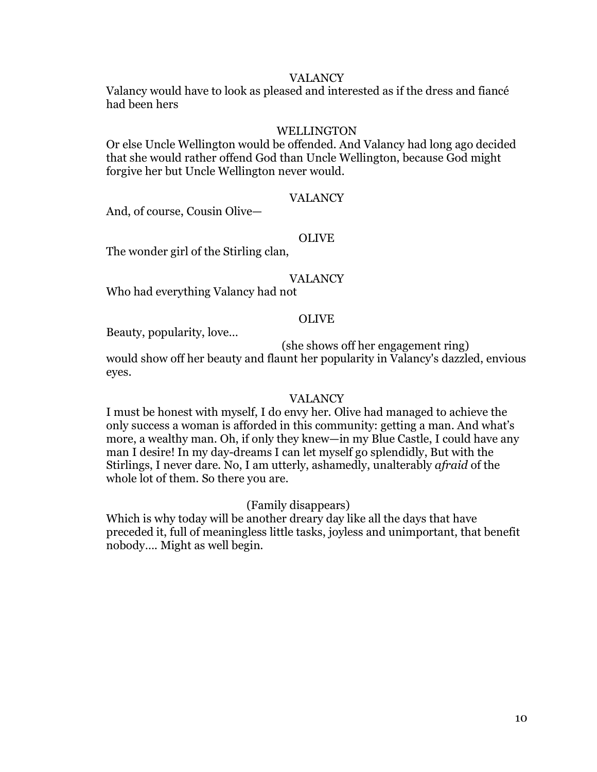## VALANCY

Valancy would have to look as pleased and interested as if the dress and fiancé had been hers

## WELLINGTON

Or else Uncle Wellington would be offended. And Valancy had long ago decided that she would rather offend God than Uncle Wellington, because God might forgive her but Uncle Wellington never would.

## VALANCY

And, of course, Cousin Olive—

#### OLIVE

The wonder girl of the Stirling clan,

## VALANCY

Who had everything Valancy had not

#### OLIVE

Beauty, popularity, love…

(she shows off her engagement ring)

would show off her beauty and flaunt her popularity in Valancy's dazzled, envious eyes.

#### VALANCY

I must be honest with myself, I do envy her. Olive had managed to achieve the only success a woman is afforded in this community: getting a man. And what's more, a wealthy man. Oh, if only they knew—in my Blue Castle, I could have any man I desire! In my day-dreams I can let myself go splendidly, But with the Stirlings, I never dare. No, I am utterly, ashamedly, unalterably *afraid* of the whole lot of them. So there you are.

## (Family disappears)

Which is why today will be another dreary day like all the days that have preceded it, full of meaningless little tasks, joyless and unimportant, that benefit nobody…. Might as well begin.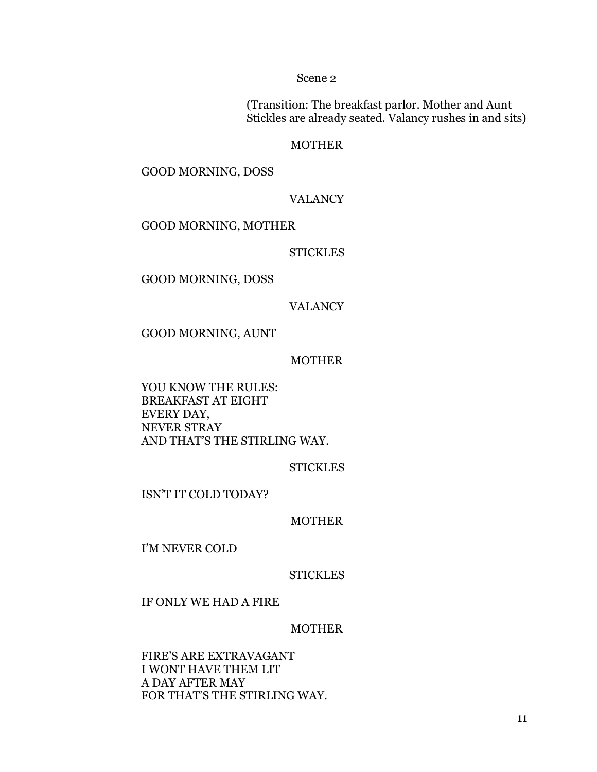Scene 2

(Transition: The breakfast parlor. Mother and Aunt Stickles are already seated. Valancy rushes in and sits)

## MOTHER

GOOD MORNING, DOSS

## VALANCY

GOOD MORNING, MOTHER

## **STICKLES**

GOOD MORNING, DOSS

## VALANCY

GOOD MORNING, AUNT

#### MOTHER

YOU KNOW THE RULES: BREAKFAST AT EIGHT EVERY DAY, NEVER STRAY AND THAT'S THE STIRLING WAY.

#### **STICKLES**

ISN'T IT COLD TODAY?

## MOTHER

I'M NEVER COLD

## **STICKLES**

IF ONLY WE HAD A FIRE

#### MOTHER

FIRE'S ARE EXTRAVAGANT I WONT HAVE THEM LIT A DAY AFTER MAY FOR THAT'S THE STIRLING WAY.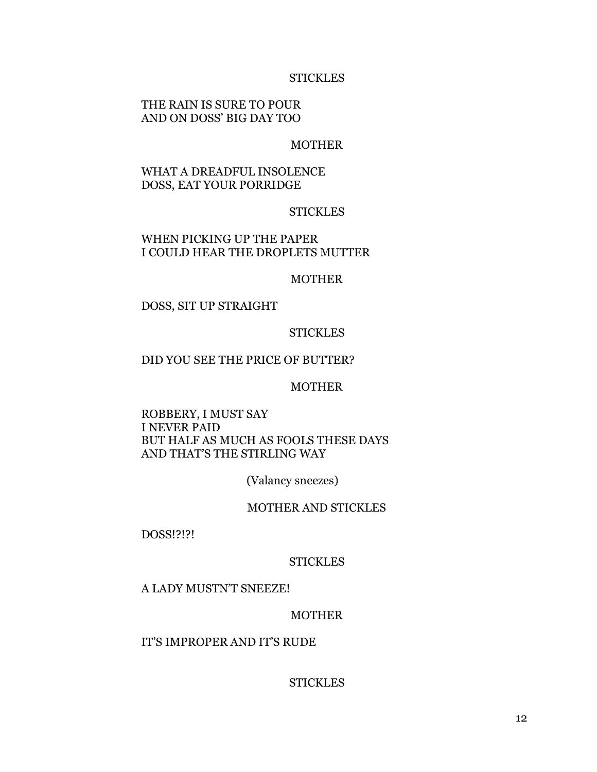## **STICKLES**

## THE RAIN IS SURE TO POUR AND ON DOSS' BIG DAY TOO

## MOTHER

## WHAT A DREADFUL INSOLENCE DOSS, EAT YOUR PORRIDGE

## **STICKLES**

## WHEN PICKING UP THE PAPER I COULD HEAR THE DROPLETS MUTTER

#### MOTHER

DOSS, SIT UP STRAIGHT

## **STICKLES**

## DID YOU SEE THE PRICE OF BUTTER?

## MOTHER

## ROBBERY, I MUST SAY I NEVER PAID BUT HALF AS MUCH AS FOOLS THESE DAYS AND THAT'S THE STIRLING WAY

(Valancy sneezes)

#### MOTHER AND STICKLES

DOSS!?!?!

#### **STICKLES**

#### A LADY MUSTN'T SNEEZE!

#### MOTHER

## IT'S IMPROPER AND IT'S RUDE

## **STICKLES**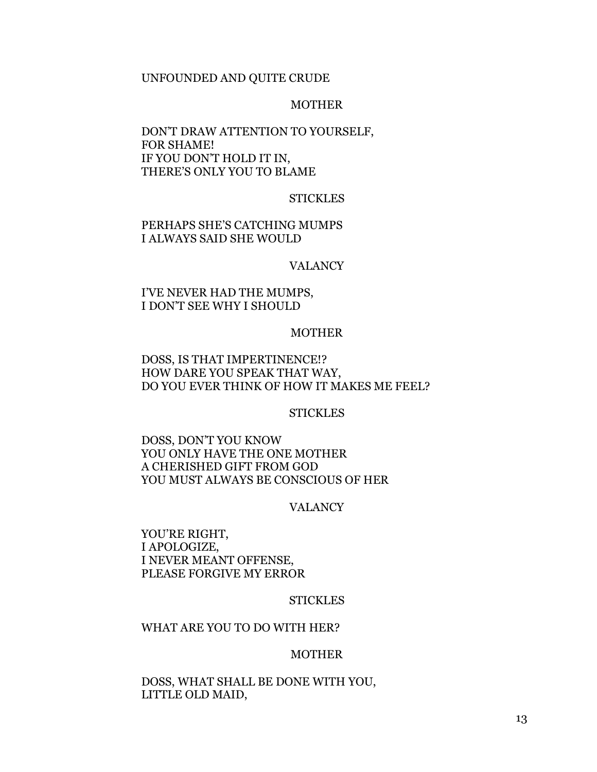#### UNFOUNDED AND QUITE CRUDE

#### MOTHER

## DON'T DRAW ATTENTION TO YOURSELF, FOR SHAME! IF YOU DON'T HOLD IT IN, THERE'S ONLY YOU TO BLAME

#### **STICKLES**

## PERHAPS SHE'S CATCHING MUMPS I ALWAYS SAID SHE WOULD

#### VALANCY

## I'VE NEVER HAD THE MUMPS, I DON'T SEE WHY I SHOULD

## MOTHER

## DOSS, IS THAT IMPERTINENCE!? HOW DARE YOU SPEAK THAT WAY, DO YOU EVER THINK OF HOW IT MAKES ME FEEL?

## **STICKLES**

DOSS, DON'T YOU KNOW YOU ONLY HAVE THE ONE MOTHER A CHERISHED GIFT FROM GOD YOU MUST ALWAYS BE CONSCIOUS OF HER

#### VALANCY

YOU'RE RIGHT, I APOLOGIZE, I NEVER MEANT OFFENSE, PLEASE FORGIVE MY ERROR

## **STICKLES**

#### WHAT ARE YOU TO DO WITH HER?

#### MOTHER

DOSS, WHAT SHALL BE DONE WITH YOU, LITTLE OLD MAID,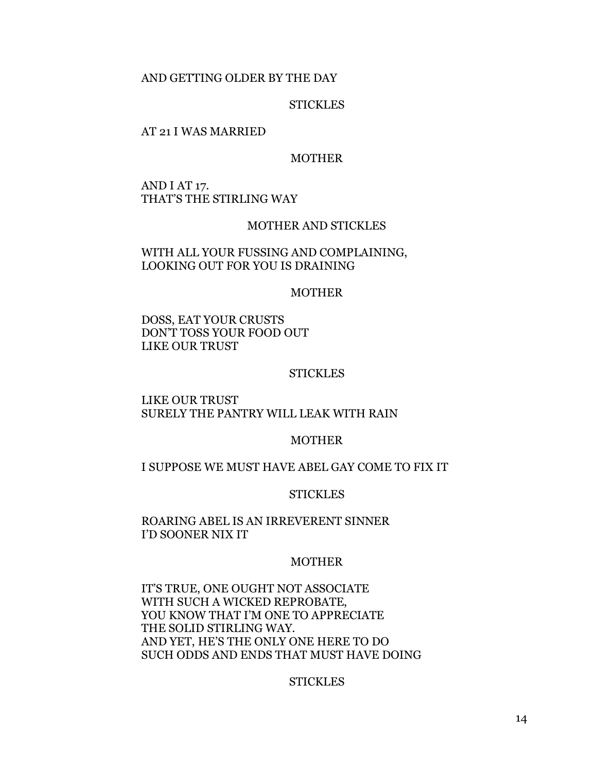#### AND GETTING OLDER BY THE DAY

#### **STICKLES**

#### AT 21 I WAS MARRIED

#### MOTHER

AND I AT 17. THAT'S THE STIRLING WAY

## MOTHER AND STICKLES

WITH ALL YOUR FUSSING AND COMPLAINING, LOOKING OUT FOR YOU IS DRAINING

#### MOTHER

DOSS, EAT YOUR CRUSTS DON'T TOSS YOUR FOOD OUT LIKE OUR TRUST

#### **STICKLES**

LIKE OUR TRUST SURELY THE PANTRY WILL LEAK WITH RAIN

#### MOTHER

#### I SUPPOSE WE MUST HAVE ABEL GAY COME TO FIX IT

#### **STICKLES**

## ROARING ABEL IS AN IRREVERENT SINNER I'D SOONER NIX IT

#### MOTHER

IT'S TRUE, ONE OUGHT NOT ASSOCIATE WITH SUCH A WICKED REPROBATE, YOU KNOW THAT I'M ONE TO APPRECIATE THE SOLID STIRLING WAY. AND YET, HE'S THE ONLY ONE HERE TO DO SUCH ODDS AND ENDS THAT MUST HAVE DOING

#### **STICKLES**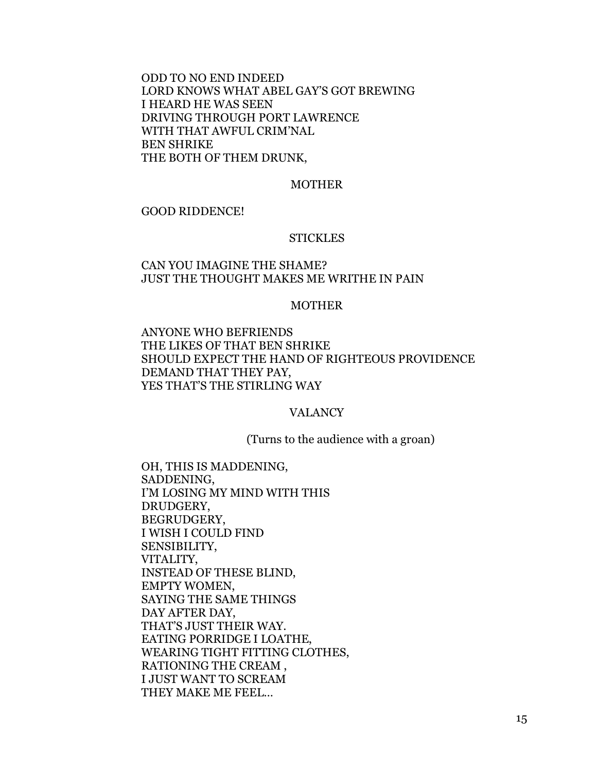ODD TO NO END INDEED LORD KNOWS WHAT ABEL GAY'S GOT BREWING I HEARD HE WAS SEEN DRIVING THROUGH PORT LAWRENCE WITH THAT AWFUL CRIM'NAL BEN SHRIKE THE BOTH OF THEM DRUNK,

#### MOTHER

#### GOOD RIDDENCE!

#### **STICKLES**

## CAN YOU IMAGINE THE SHAME? JUST THE THOUGHT MAKES ME WRITHE IN PAIN

## MOTHER

ANYONE WHO BEFRIENDS THE LIKES OF THAT BEN SHRIKE SHOULD EXPECT THE HAND OF RIGHTEOUS PROVIDENCE DEMAND THAT THEY PAY, YES THAT'S THE STIRLING WAY

## VALANCY

(Turns to the audience with a groan)

OH, THIS IS MADDENING, SADDENING, I'M LOSING MY MIND WITH THIS DRUDGERY, BEGRUDGERY, I WISH I COULD FIND SENSIBILITY, VITALITY, INSTEAD OF THESE BLIND, EMPTY WOMEN, SAYING THE SAME THINGS DAY AFTER DAY, THAT'S JUST THEIR WAY. EATING PORRIDGE I LOATHE, WEARING TIGHT FITTING CLOTHES, RATIONING THE CREAM , I JUST WANT TO SCREAM THEY MAKE ME FEEL…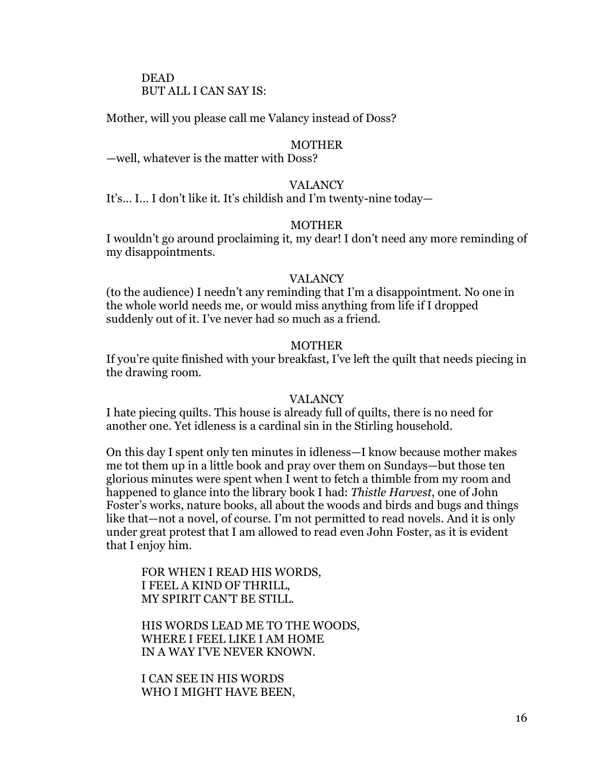## DEAD BUT ALL I CAN SAY IS:

Mother, will you please call me Valancy instead of Doss?

## MOTHER

—well, whatever is the matter with Doss?

#### VALANCY

It's… I… I don't like it. It's childish and I'm twenty-nine today—

## MOTHER

I wouldn't go around proclaiming it, my dear! I don't need any more reminding of my disappointments.

#### VALANCY

(to the audience) I needn't any reminding that I'm a disappointment. No one in the whole world needs me, or would miss anything from life if I dropped suddenly out of it. I've never had so much as a friend.

## MOTHER

If you're quite finished with your breakfast, I've left the quilt that needs piecing in the drawing room.

#### VALANCY

I hate piecing quilts. This house is already full of quilts, there is no need for another one. Yet idleness is a cardinal sin in the Stirling household.

On this day I spent only ten minutes in idleness—I know because mother makes me tot them up in a little book and pray over them on Sundays—but those ten glorious minutes were spent when I went to fetch a thimble from my room and happened to glance into the library book I had: *Thistle Harvest*, one of John Foster's works, nature books, all about the woods and birds and bugs and things like that—not a novel, of course. I'm not permitted to read novels. And it is only under great protest that I am allowed to read even John Foster, as it is evident that I enjoy him.

FOR WHEN I READ HIS WORDS, I FEEL A KIND OF THRILL, MY SPIRIT CAN'T BE STILL.

HIS WORDS LEAD ME TO THE WOODS, WHERE I FEEL LIKE I AM HOME IN A WAY I'VE NEVER KNOWN.

I CAN SEE IN HIS WORDS WHO I MIGHT HAVE BEEN,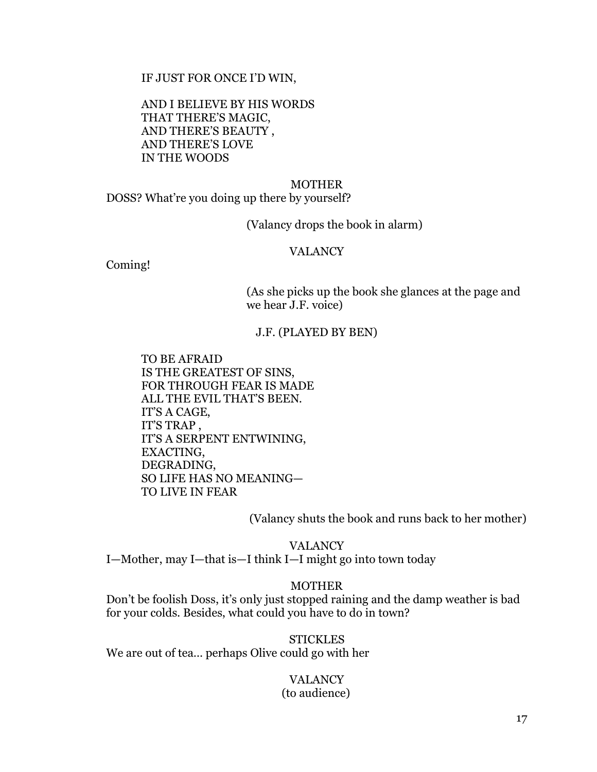IF JUST FOR ONCE I'D WIN,

AND I BELIEVE BY HIS WORDS THAT THERE'S MAGIC, AND THERE'S BEAUTY , AND THERE'S LOVE IN THE WOODS

#### MOTHER

DOSS? What're you doing up there by yourself?

(Valancy drops the book in alarm)

## VALANCY

Coming!

(As she picks up the book she glances at the page and we hear J.F. voice)

#### J.F. (PLAYED BY BEN)

TO BE AFRAID IS THE GREATEST OF SINS, FOR THROUGH FEAR IS MADE ALL THE EVIL THAT'S BEEN. IT'S A CAGE, IT'S TRAP , IT'S A SERPENT ENTWINING, EXACTING, DEGRADING, SO LIFE HAS NO MEANING— TO LIVE IN FEAR

(Valancy shuts the book and runs back to her mother)

VALANCY I—Mother, may I—that is—I think I—I might go into town today

## MOTHER

Don't be foolish Doss, it's only just stopped raining and the damp weather is bad for your colds. Besides, what could you have to do in town?

**STICKLES** We are out of tea… perhaps Olive could go with her

## VALANCY (to audience)